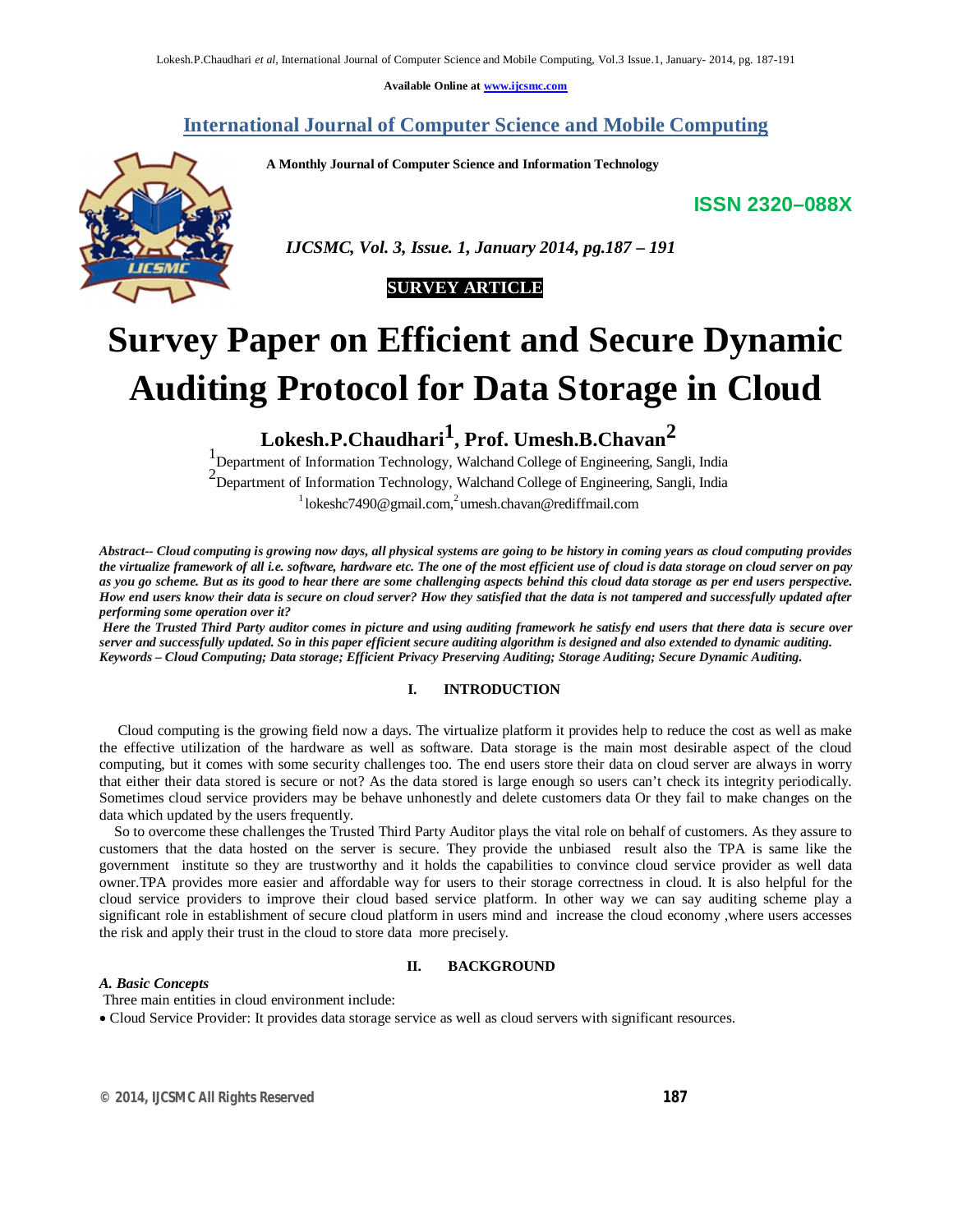**Available Online at www.ijcsmc.com**

# **International Journal of Computer Science and Mobile Computing**

 **A Monthly Journal of Computer Science and Information Technology**

**ISSN 2320–088X**



 *IJCSMC, Vol. 3, Issue. 1, January 2014, pg.187 – 191*

# **SURVEY ARTICLE**

# **Survey Paper on Efficient and Secure Dynamic Auditing Protocol for Data Storage in Cloud**

**Lokesh.P.Chaudhari1 , Prof. Umesh.B.Chavan2**

1 Department of Information Technology, Walchand College of Engineering, Sangli, India <sup>2</sup>Department of Information Technology, Walchand College of Engineering, Sangli, India  $1$ lokeshc7490@gmail.com,<sup>2</sup>umesh.chavan@rediffmail.com

*Abstract-- Cloud computing is growing now days, all physical systems are going to be history in coming years as cloud computing provides the virtualize framework of all i.e. software, hardware etc. The one of the most efficient use of cloud is data storage on cloud server on pay as you go scheme. But as its good to hear there are some challenging aspects behind this cloud data storage as per end users perspective. How end users know their data is secure on cloud server? How they satisfied that the data is not tampered and successfully updated after performing some operation over it?*

*Here the Trusted Third Party auditor comes in picture and using auditing framework he satisfy end users that there data is secure over server and successfully updated. So in this paper efficient secure auditing algorithm is designed and also extended to dynamic auditing. Keywords – Cloud Computing; Data storage; Efficient Privacy Preserving Auditing; Storage Auditing; Secure Dynamic Auditing.* 

## **I. INTRODUCTION**

 Cloud computing is the growing field now a days. The virtualize platform it provides help to reduce the cost as well as make the effective utilization of the hardware as well as software. Data storage is the main most desirable aspect of the cloud computing, but it comes with some security challenges too. The end users store their data on cloud server are always in worry that either their data stored is secure or not? As the data stored is large enough so users can't check its integrity periodically. Sometimes cloud service providers may be behave unhonestly and delete customers data Or they fail to make changes on the data which updated by the users frequently.

 So to overcome these challenges the Trusted Third Party Auditor plays the vital role on behalf of customers. As they assure to customers that the data hosted on the server is secure. They provide the unbiased result also the TPA is same like the government institute so they are trustworthy and it holds the capabilities to convince cloud service provider as well data owner.TPA provides more easier and affordable way for users to their storage correctness in cloud. It is also helpful for the cloud service providers to improve their cloud based service platform. In other way we can say auditing scheme play a significant role in establishment of secure cloud platform in users mind and increase the cloud economy ,where users accesses the risk and apply their trust in the cloud to store data more precisely.

## **II. BACKGROUND**

#### *A. Basic Concepts*

Three main entities in cloud environment include:

Cloud Service Provider: It provides data storage service as well as cloud servers with significant resources.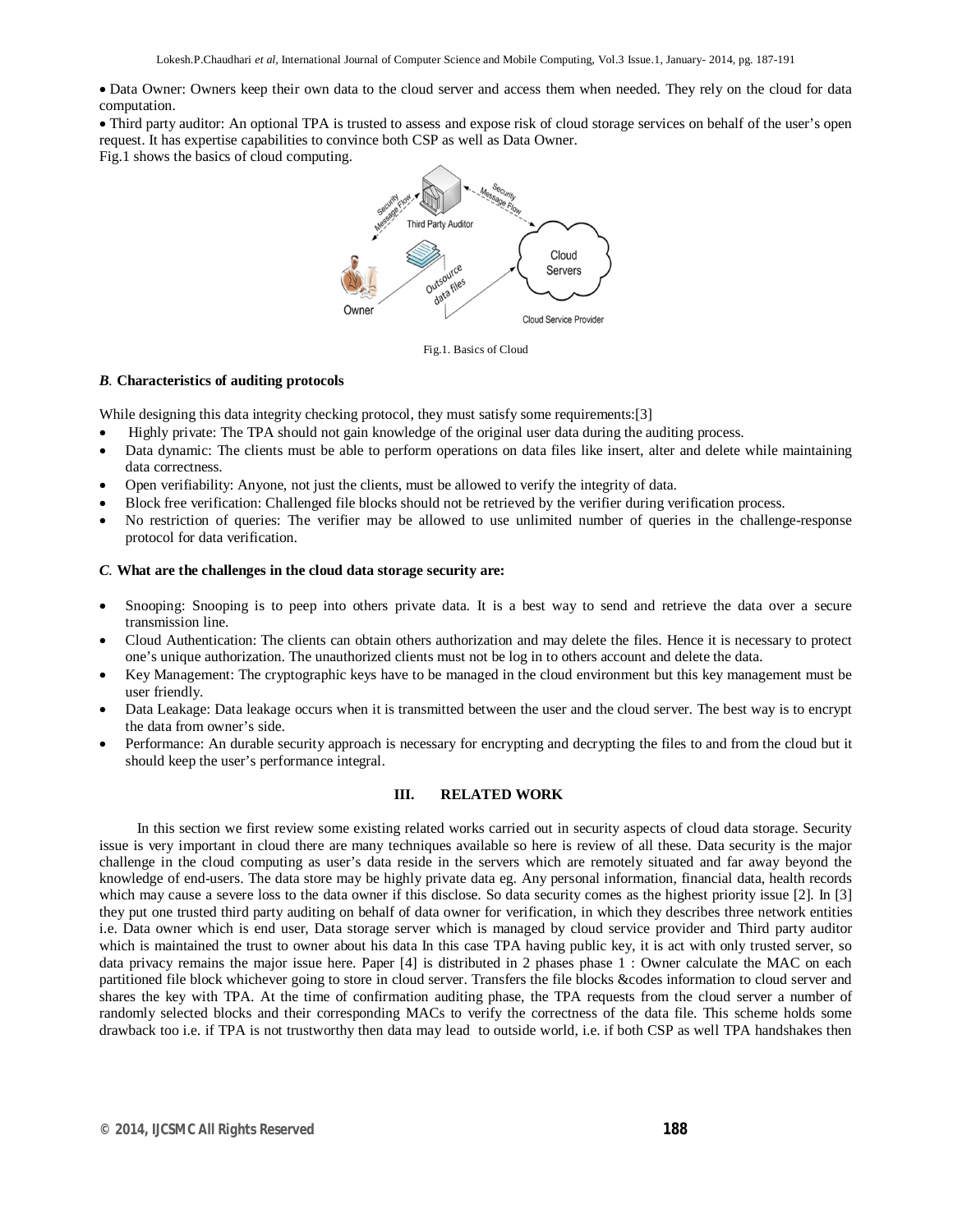Data Owner: Owners keep their own data to the cloud server and access them when needed. They rely on the cloud for data computation.

Third party auditor: An optional TPA is trusted to assess and expose risk of cloud storage services on behalf of the user's open request. It has expertise capabilities to convince both CSP as well as Data Owner.

Fig.1 shows the basics of cloud computing.



Fig.1. Basics of Cloud

## *B.* **Characteristics of auditing protocols**

While designing this data integrity checking protocol, they must satisfy some requirements:[3]

- Highly private: The TPA should not gain knowledge of the original user data during the auditing process.
- Data dynamic: The clients must be able to perform operations on data files like insert, alter and delete while maintaining data correctness.
- Open verifiability: Anyone, not just the clients, must be allowed to verify the integrity of data.
- Block free verification: Challenged file blocks should not be retrieved by the verifier during verification process.
- No restriction of queries: The verifier may be allowed to use unlimited number of queries in the challenge-response protocol for data verification.

#### *C.* **What are the challenges in the cloud data storage security are:**

- Snooping: Snooping is to peep into others private data. It is a best way to send and retrieve the data over a secure transmission line.
- Cloud Authentication: The clients can obtain others authorization and may delete the files. Hence it is necessary to protect one's unique authorization. The unauthorized clients must not be log in to others account and delete the data.
- Key Management: The cryptographic keys have to be managed in the cloud environment but this key management must be user friendly.
- Data Leakage: Data leakage occurs when it is transmitted between the user and the cloud server. The best way is to encrypt the data from owner's side.
- Performance: An durable security approach is necessary for encrypting and decrypting the files to and from the cloud but it should keep the user's performance integral.

## **III. RELATED WORK**

In this section we first review some existing related works carried out in security aspects of cloud data storage. Security issue is very important in cloud there are many techniques available so here is review of all these. Data security is the major challenge in the cloud computing as user's data reside in the servers which are remotely situated and far away beyond the knowledge of end-users. The data store may be highly private data eg. Any personal information, financial data, health records which may cause a severe loss to the data owner if this disclose. So data security comes as the highest priority issue [2]. In [3] they put one trusted third party auditing on behalf of data owner for verification, in which they describes three network entities i.e. Data owner which is end user, Data storage server which is managed by cloud service provider and Third party auditor which is maintained the trust to owner about his data In this case TPA having public key, it is act with only trusted server, so data privacy remains the major issue here. Paper [4] is distributed in 2 phases phase 1 : Owner calculate the MAC on each partitioned file block whichever going to store in cloud server. Transfers the file blocks &codes information to cloud server and shares the key with TPA. At the time of confirmation auditing phase, the TPA requests from the cloud server a number of randomly selected blocks and their corresponding MACs to verify the correctness of the data file. This scheme holds some drawback too i.e. if TPA is not trustworthy then data may lead to outside world, i.e. if both CSP as well TPA handshakes then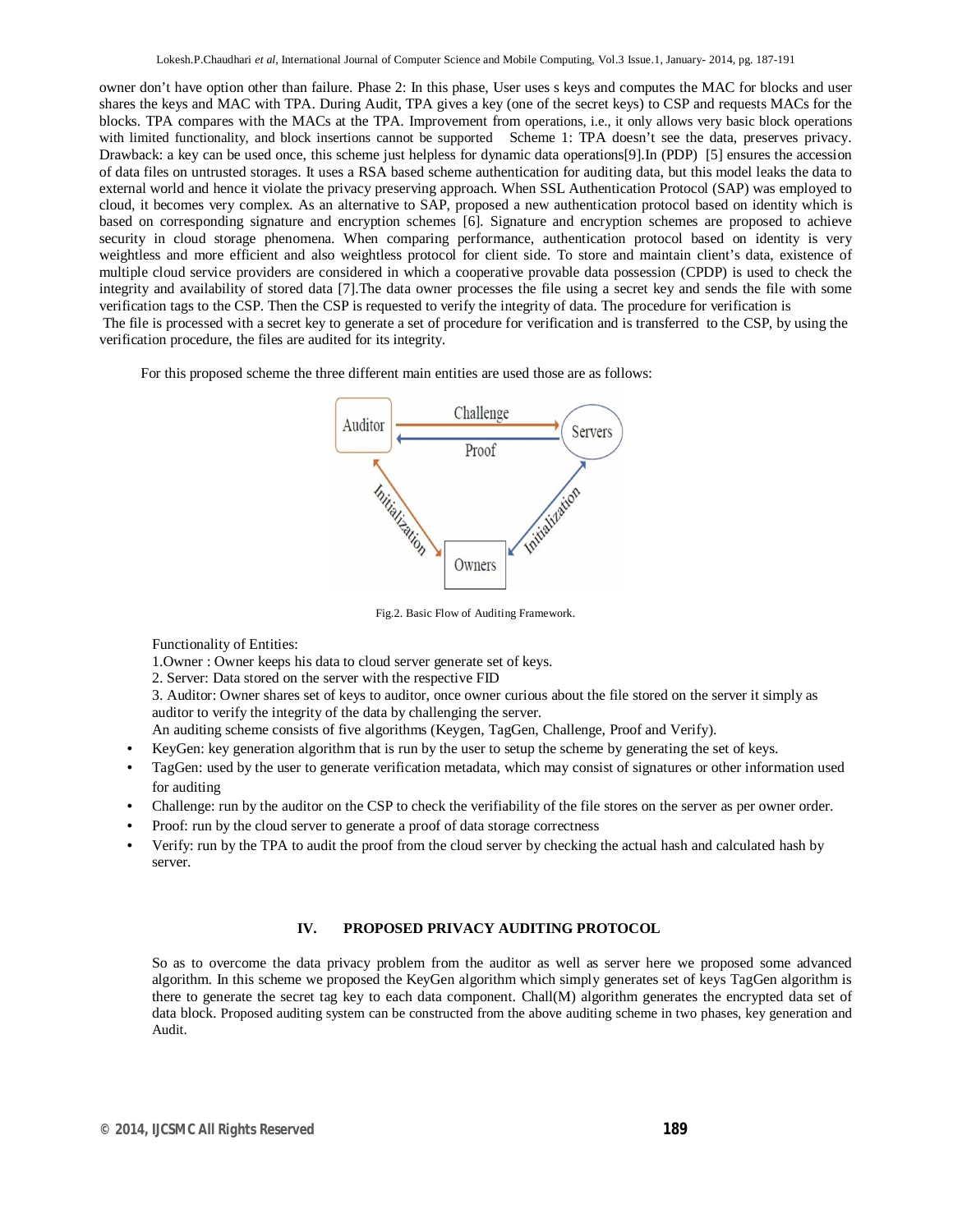owner don't have option other than failure. Phase 2: In this phase, User uses s keys and computes the MAC for blocks and user shares the keys and MAC with TPA. During Audit, TPA gives a key (one of the secret keys) to CSP and requests MACs for the blocks. TPA compares with the MACs at the TPA. Improvement from operations, i.e., it only allows very basic block operations with limited functionality, and block insertions cannot be supported Scheme 1: TPA doesn't see the data, preserves privacy. Drawback: a key can be used once, this scheme just helpless for dynamic data operations[9].In (PDP) [5] ensures the accession of data files on untrusted storages. It uses a RSA based scheme authentication for auditing data, but this model leaks the data to external world and hence it violate the privacy preserving approach. When SSL Authentication Protocol (SAP) was employed to cloud, it becomes very complex. As an alternative to SAP, proposed a new authentication protocol based on identity which is based on corresponding signature and encryption schemes [6]. Signature and encryption schemes are proposed to achieve security in cloud storage phenomena. When comparing performance, authentication protocol based on identity is very weightless and more efficient and also weightless protocol for client side. To store and maintain client's data, existence of multiple cloud service providers are considered in which a cooperative provable data possession (CPDP) is used to check the integrity and availability of stored data [7].The data owner processes the file using a secret key and sends the file with some verification tags to the CSP. Then the CSP is requested to verify the integrity of data. The procedure for verification is The file is processed with a secret key to generate a set of procedure for verification and is transferred to the CSP, by using the verification procedure, the files are audited for its integrity.

For this proposed scheme the three different main entities are used those are as follows:



Fig.2. Basic Flow of Auditing Framework.

Functionality of Entities:

1.Owner : Owner keeps his data to cloud server generate set of keys.

2. Server: Data stored on the server with the respective FID

3. Auditor: Owner shares set of keys to auditor, once owner curious about the file stored on the server it simply as auditor to verify the integrity of the data by challenging the server.

An auditing scheme consists of five algorithms (Keygen, TagGen, Challenge, Proof and Verify).

- KeyGen: key generation algorithm that is run by the user to setup the scheme by generating the set of keys.
- TagGen: used by the user to generate verification metadata, which may consist of signatures or other information used for auditing
- Challenge: run by the auditor on the CSP to check the verifiability of the file stores on the server as per owner order.
- Proof: run by the cloud server to generate a proof of data storage correctness
- Verify: run by the TPA to audit the proof from the cloud server by checking the actual hash and calculated hash by server.

## **IV. PROPOSED PRIVACY AUDITING PROTOCOL**

So as to overcome the data privacy problem from the auditor as well as server here we proposed some advanced algorithm. In this scheme we proposed the KeyGen algorithm which simply generates set of keys TagGen algorithm is there to generate the secret tag key to each data component. Chall(M) algorithm generates the encrypted data set of data block. Proposed auditing system can be constructed from the above auditing scheme in two phases, key generation and Audit.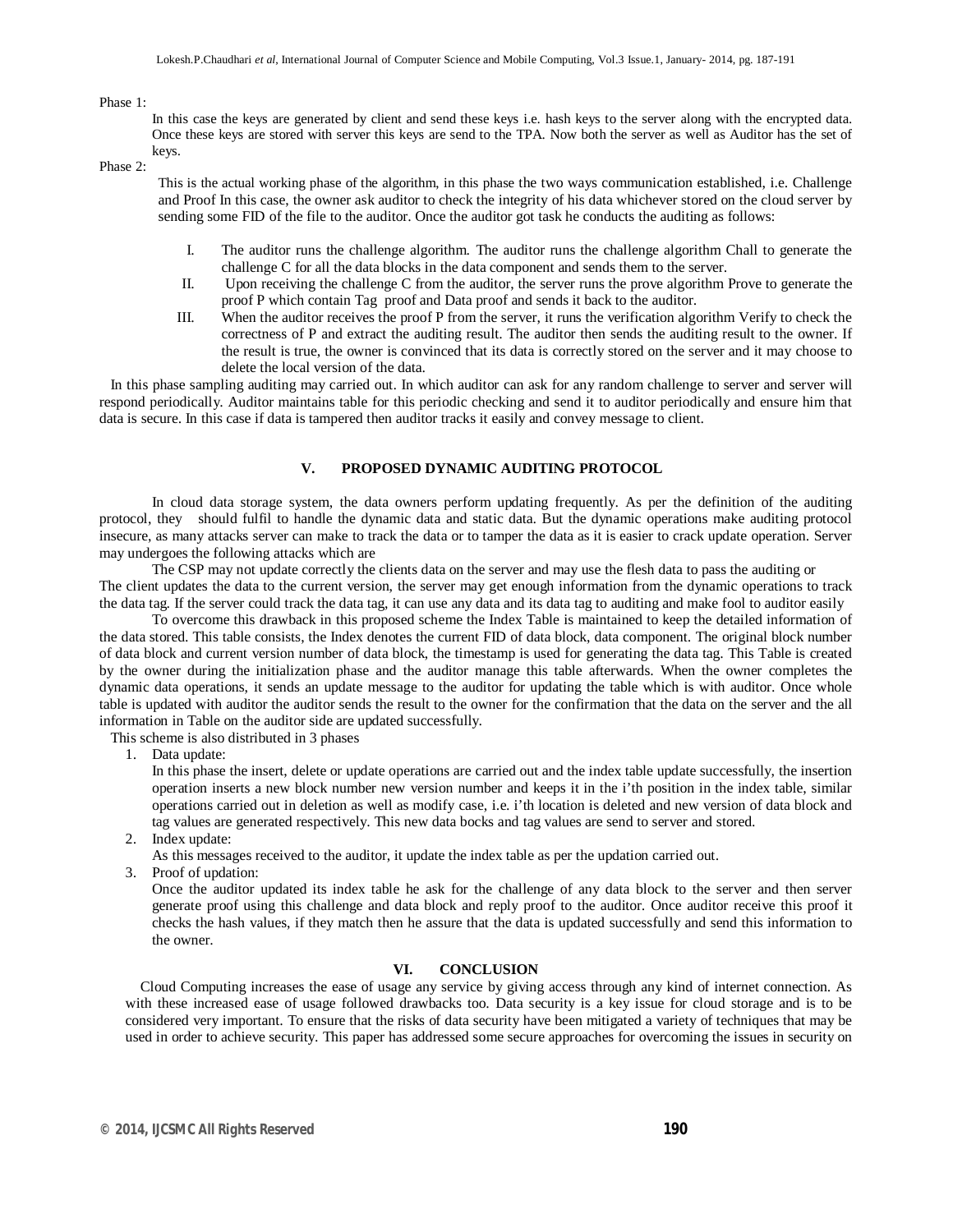Phase 1:

In this case the keys are generated by client and send these keys i.e. hash keys to the server along with the encrypted data. Once these keys are stored with server this keys are send to the TPA. Now both the server as well as Auditor has the set of keys.

Phase 2:

This is the actual working phase of the algorithm, in this phase the two ways communication established, i.e. Challenge and Proof In this case, the owner ask auditor to check the integrity of his data whichever stored on the cloud server by sending some FID of the file to the auditor. Once the auditor got task he conducts the auditing as follows:

- I. The auditor runs the challenge algorithm. The auditor runs the challenge algorithm Chall to generate the challenge C for all the data blocks in the data component and sends them to the server.
- II. Upon receiving the challenge C from the auditor, the server runs the prove algorithm Prove to generate the proof P which contain Tag proof and Data proof and sends it back to the auditor.
- III. When the auditor receives the proof P from the server, it runs the verification algorithm Verify to check the correctness of P and extract the auditing result. The auditor then sends the auditing result to the owner. If the result is true, the owner is convinced that its data is correctly stored on the server and it may choose to delete the local version of the data.

 In this phase sampling auditing may carried out. In which auditor can ask for any random challenge to server and server will respond periodically. Auditor maintains table for this periodic checking and send it to auditor periodically and ensure him that data is secure. In this case if data is tampered then auditor tracks it easily and convey message to client.

### **V. PROPOSED DYNAMIC AUDITING PROTOCOL**

In cloud data storage system, the data owners perform updating frequently. As per the definition of the auditing protocol, they should fulfil to handle the dynamic data and static data. But the dynamic operations make auditing protocol insecure, as many attacks server can make to track the data or to tamper the data as it is easier to crack update operation. Server may undergoes the following attacks which are

The CSP may not update correctly the clients data on the server and may use the flesh data to pass the auditing or The client updates the data to the current version, the server may get enough information from the dynamic operations to track the data tag. If the server could track the data tag, it can use any data and its data tag to auditing and make fool to auditor easily

To overcome this drawback in this proposed scheme the Index Table is maintained to keep the detailed information of the data stored. This table consists, the Index denotes the current FID of data block, data component. The original block number of data block and current version number of data block, the timestamp is used for generating the data tag. This Table is created by the owner during the initialization phase and the auditor manage this table afterwards. When the owner completes the dynamic data operations, it sends an update message to the auditor for updating the table which is with auditor. Once whole table is updated with auditor the auditor sends the result to the owner for the confirmation that the data on the server and the all information in Table on the auditor side are updated successfully.

This scheme is also distributed in 3 phases

1. Data update:

In this phase the insert, delete or update operations are carried out and the index table update successfully, the insertion operation inserts a new block number new version number and keeps it in the i'th position in the index table, similar operations carried out in deletion as well as modify case, i.e. i'th location is deleted and new version of data block and tag values are generated respectively. This new data bocks and tag values are send to server and stored.

2. Index update:

As this messages received to the auditor, it update the index table as per the updation carried out.

3. Proof of updation:

Once the auditor updated its index table he ask for the challenge of any data block to the server and then server generate proof using this challenge and data block and reply proof to the auditor. Once auditor receive this proof it checks the hash values, if they match then he assure that the data is updated successfully and send this information to the owner.

#### **VI. CONCLUSION**

 Cloud Computing increases the ease of usage any service by giving access through any kind of internet connection. As with these increased ease of usage followed drawbacks too. Data security is a key issue for cloud storage and is to be considered very important. To ensure that the risks of data security have been mitigated a variety of techniques that may be used in order to achieve security. This paper has addressed some secure approaches for overcoming the issues in security on